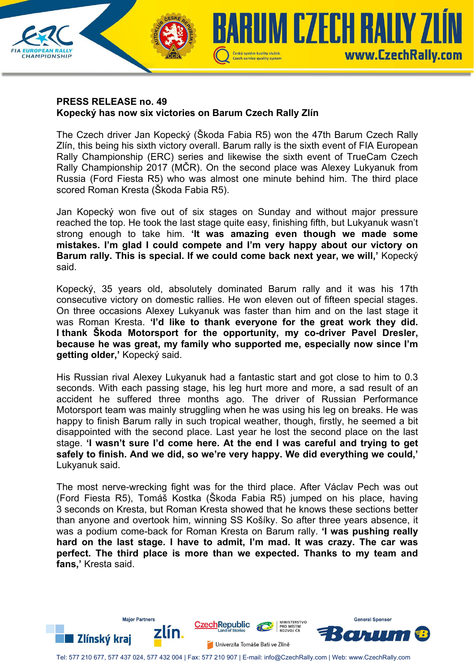

#### **PRESS RELEASE no. 49 Kopecký has now six victories on Barum Czech Rally Zlín**

The Czech driver Jan Kopecký (Škoda Fabia R5) won the 47th Barum Czech Rally Zlín, this being his sixth victory overall. Barum rally is the sixth event of FIA European Rally Championship (ERC) series and likewise the sixth event of TrueCam Czech Rally Championship 2017 (MČR). On the second place was Alexey Lukyanuk from Russia (Ford Fiesta R5) who was almost one minute behind him. The third place scored Roman Kresta (Škoda Fabia R5).

Jan Kopecký won five out of six stages on Sunday and without major pressure reached the top. He took the last stage quite easy, finishing fifth, but Lukyanuk wasn't strong enough to take him. **'It was amazing even though we made some mistakes. I'm glad I could compete and I'm very happy about our victory on Barum rally. This is special. If we could come back next year, we will,'** Kopecký said.

Kopecký, 35 years old, absolutely dominated Barum rally and it was his 17th consecutive victory on domestic rallies. He won eleven out of fifteen special stages. On three occasions Alexey Lukyanuk was faster than him and on the last stage it was Roman Kresta. **'I'd like to thank everyone for the great work they did. I thank Škoda Motorsport for the opportunity, my co-driver Pavel Dresler, because he was great, my family who supported me, especially now since I'm getting older,'** Kopecký said.

His Russian rival Alexey Lukyanuk had a fantastic start and got close to him to 0.3 seconds. With each passing stage, his leg hurt more and more, a sad result of an accident he suffered three months ago. The driver of Russian Performance Motorsport team was mainly struggling when he was using his leg on breaks. He was happy to finish Barum rally in such tropical weather, though, firstly, he seemed a bit disappointed with the second place. Last year he lost the second place on the last stage. **'I wasn't sure I'd come here. At the end I was careful and trying to get safely to finish. And we did, so we're very happy. We did everything we could,'** Lukyanuk said.

The most nerve-wrecking fight was for the third place. After Václav Pech was out (Ford Fiesta R5), Tomáš Kostka (Škoda Fabia R5) jumped on his place, having 3 seconds on Kresta, but Roman Kresta showed that he knows these sections better than anyone and overtook him, winning SS Košíky. So after three years absence, it was a podium come-back for Roman Kresta on Barum rally. **'I was pushing really hard on the last stage. I have to admit, I'm mad. It was crazy. The car was perfect. The third place is more than we expected. Thanks to my team and fans,'** Kresta said.



Tel: 577 210 677, 577 437 024, 577 432 004 | Fax: 577 210 907 | E-mail: info@CzechRally.com | Web: www.CzechRally.com